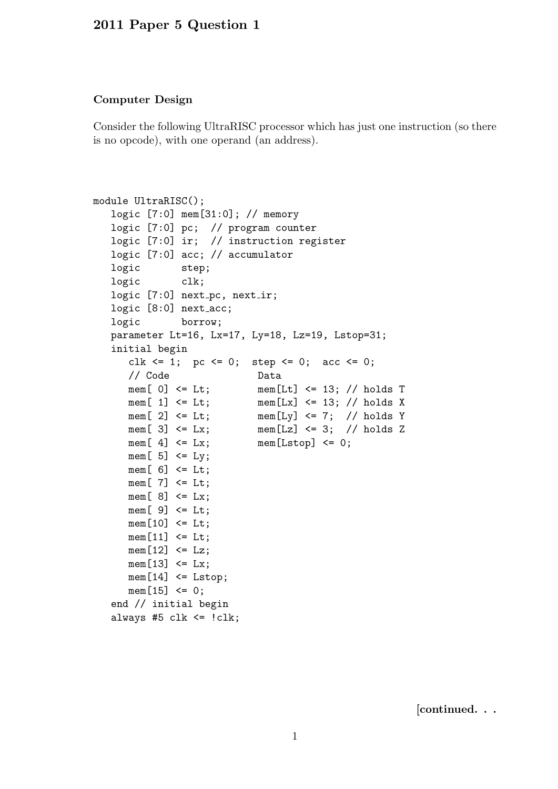## 2011 Paper 5 Question 1

## Computer Design

Consider the following UltraRISC processor which has just one instruction (so there is no opcode), with one operand (an address).

```
module UltraRISC();
  logic [7:0] mem[31:0]; // memory
  logic [7:0] pc; // program counter
  logic [7:0] ir; // instruction register
  logic [7:0] acc; // accumulator
  logic step;
  logic clk;
  logic [7:0] next_pc, next_ir;
  logic [8:0] next_acc;
  logic borrow;
  parameter Lt=16, Lx=17, Ly=18, Lz=19, Lstop=31;
  initial begin
     clk \leq 1; pc \leq 0; step \leq 0; acc \leq 0;
     // Code Data
     mem[ 0] <= Lt; mem[Lt] <= 13; // holds T
     mem[ 1] \leq Lt; mem[Lx] \leq 13; // holds X
     mem[ 2] \le Lt; mem[Ly] \le 7; // holds Y
     mem[ 3] \le Lx; mem[Lz] \le 3; // holds Z
     mem[4] \leq Lx; mem[Lstop] \leq 0;
     mem[5] <= Ly;
     mem[6] <= Lt;
     mem[7] \leq Lt;
     mem[8] <= Lx;
     mem[9] <= Lt;
     mem[10] \leq L;
     mem[11] \leq L;
     mem[12] \leq Lz;
     mem[13] \leq Lx;
     mem[14] \leq Listop;mem[15] < = 0;end // initial begin
  always #5 clk \le !clk;
```
[continued. . .